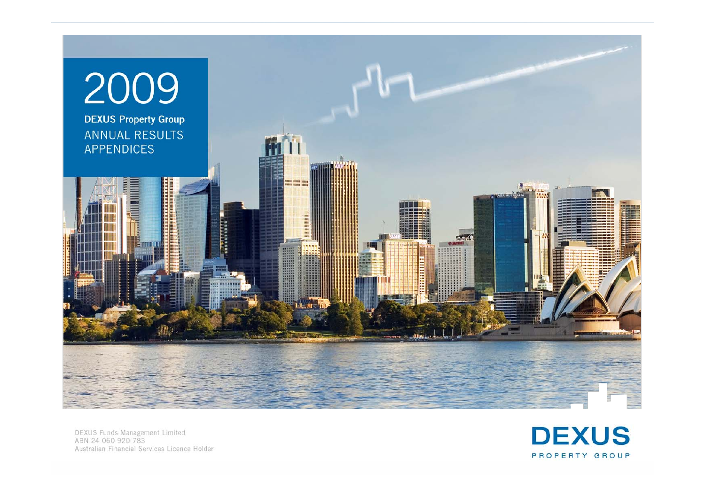

**DEXUS Funds Management Limited** ABN 24 060 920 783 Australian Financial Services Licence Holder

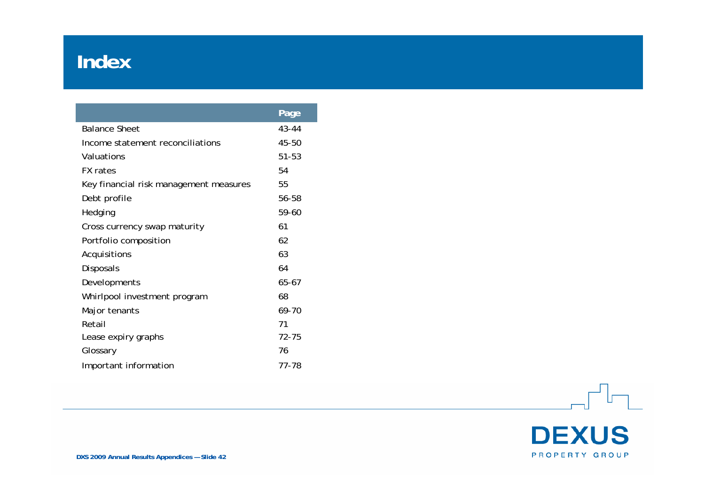#### **Index**

|                                        | Page  |
|----------------------------------------|-------|
| <b>Balance Sheet</b>                   | 43-44 |
| Income statement reconciliations       | 45-50 |
| Valuations                             | 51-53 |
| <b>FX</b> rates                        | 54    |
| Key financial risk management measures | 55    |
| Debt profile                           | 56-58 |
| Hedging                                | 59-60 |
| Cross currency swap maturity           | 61    |
| Portfolio composition                  | 62    |
| Acquisitions                           | 63    |
| Disposals                              | 64    |
| Developments                           | 65-67 |
| Whirlpool investment program           | 68    |
| Major tenants                          | 69-70 |
| Retail                                 | 71    |
| Lease expiry graphs                    | 72-75 |
| Glossary                               | 76    |
| Important information                  | 77-78 |

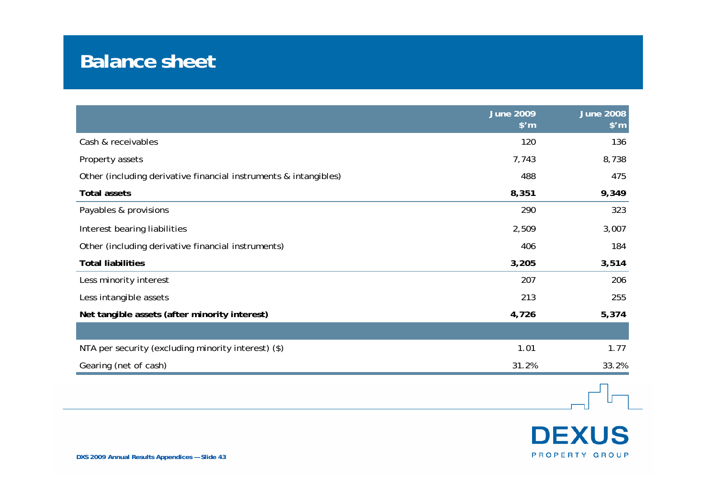#### **Balance sheet**

|                                                                  | June $2009$<br>$$^{\prime}$ m | <b>June 2008</b><br>$$^{\prime}$ m |
|------------------------------------------------------------------|-------------------------------|------------------------------------|
| Cash & receivables                                               | 120                           | 136                                |
| Property assets                                                  | 7,743                         | 8,738                              |
| Other (including derivative financial instruments & intangibles) | 488                           | 475                                |
| <b>Total assets</b>                                              | 8,351                         | 9,349                              |
| Payables & provisions                                            | 290                           | 323                                |
| Interest bearing liabilities                                     | 2,509                         | 3,007                              |
| Other (including derivative financial instruments)               | 406                           | 184                                |
| <b>Total liabilities</b>                                         | 3,205                         | 3,514                              |
| Less minority interest                                           | 207                           | 206                                |
| Less intangible assets                                           | 213                           | 255                                |
| Net tangible assets (after minority interest)                    | 4,726                         | 5,374                              |
|                                                                  |                               |                                    |
| NTA per security (excluding minority interest) (\$)              | 1.01                          | 1.77                               |
| Gearing (net of cash)                                            | 31.2%                         | 33.2%                              |



┰┱┧

 $\Box$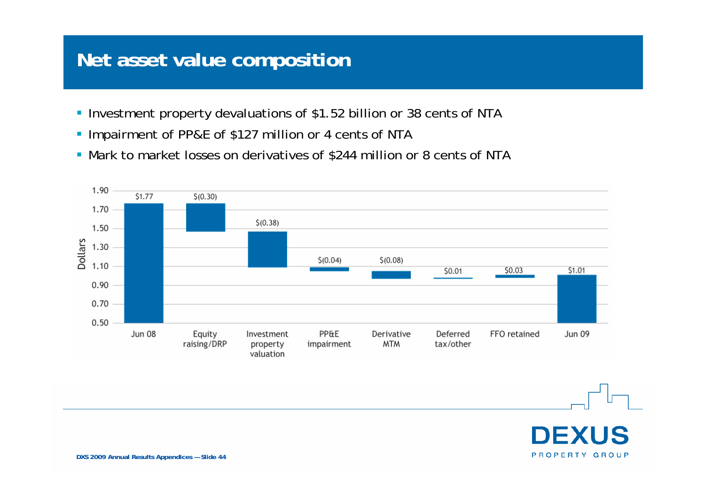#### **Net asset value composition**

- **Investment property devaluations of \$1.52 billion or 38 cents of NTA**
- **Impairment of PP&E of \$127 million or 4 cents of NTA**
- Mark to market losses on derivatives of \$244 million or 8 cents of NTA



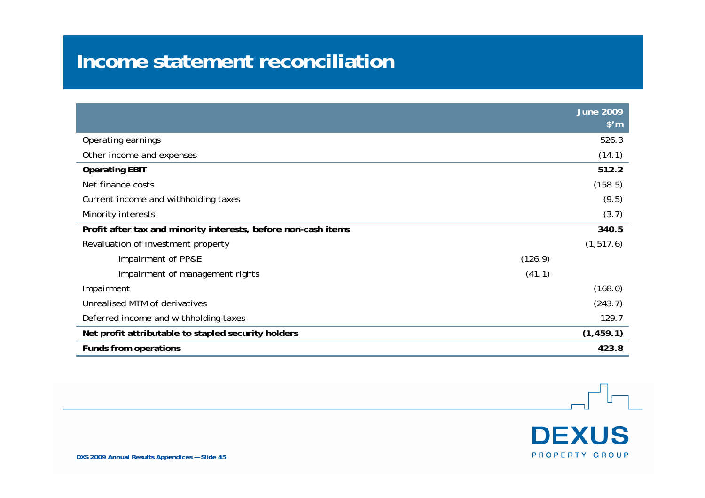#### **Income statement reconciliation**

|                                                                | June $2009$    |
|----------------------------------------------------------------|----------------|
|                                                                | $$^{\prime}$ m |
| Operating earnings                                             | 526.3          |
| Other income and expenses                                      | (14.1)         |
| <b>Operating EBIT</b>                                          | 512.2          |
| Net finance costs                                              | (158.5)        |
| Current income and withholding taxes                           | (9.5)          |
| Minority interests                                             | (3.7)          |
| Profit after tax and minority interests, before non-cash items | 340.5          |
| Revaluation of investment property                             | (1, 517.6)     |
| Impairment of PP&E                                             | (126.9)        |
| Impairment of management rights                                | (41.1)         |
| Impairment                                                     | (168.0)        |
| Unrealised MTM of derivatives                                  | (243.7)        |
| Deferred income and withholding taxes                          | 129.7          |
| Net profit attributable to stapled security holders            | (1, 459.1)     |
| <b>Funds from operations</b>                                   | 423.8          |

**DEXUS** PROPERTY GROUP

**DXS 2009 Annual Results Appendices — Slide 45**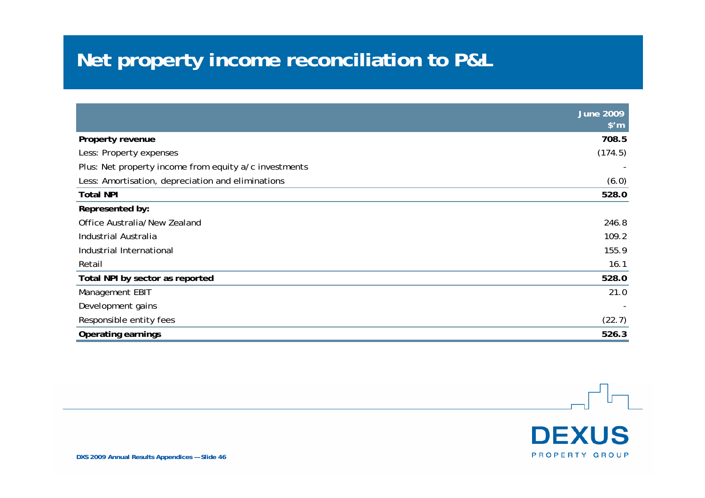# **Net property income reconciliation to P&L**

|                                                       | $J$ une 2009<br>$$^{\prime}$ m |
|-------------------------------------------------------|--------------------------------|
| Property revenue                                      | 708.5                          |
| Less: Property expenses                               | (174.5)                        |
| Plus: Net property income from equity a/c investments |                                |
| Less: Amortisation, depreciation and eliminations     | (6.0)                          |
| <b>Total NPI</b>                                      | 528.0                          |
| Represented by:                                       |                                |
| Office Australia/New Zealand                          | 246.8                          |
| Industrial Australia                                  | 109.2                          |
| Industrial International                              | 155.9                          |
| Retail                                                | 16.1                           |
| Total NPI by sector as reported                       | 528.0                          |
| Management EBIT                                       | 21.0                           |
| Development gains                                     |                                |
| Responsible entity fees                               | (22.7)                         |
| <b>Operating earnings</b>                             | 526.3                          |

**DEXUS** PROPERTY GROUP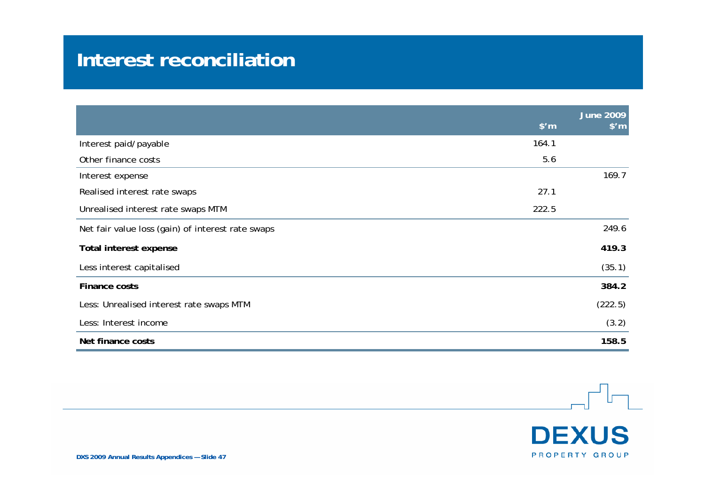#### **Interest reconciliation**

|                                                   |                | June $2009$    |
|---------------------------------------------------|----------------|----------------|
|                                                   | $$^{\prime}$ m | $$^{\prime}$ m |
| Interest paid/payable                             | 164.1          |                |
| Other finance costs                               | 5.6            |                |
| Interest expense                                  |                | 169.7          |
| Realised interest rate swaps                      | 27.1           |                |
| Unrealised interest rate swaps MTM                | 222.5          |                |
| Net fair value loss (gain) of interest rate swaps |                | 249.6          |
| Total interest expense                            |                | 419.3          |
| Less interest capitalised                         |                | (35.1)         |
| Finance costs                                     |                | 384.2          |
| Less: Unrealised interest rate swaps MTM          |                | (222.5)        |
| Less: Interest income                             |                | (3.2)          |
| Net finance costs                                 |                | 158.5          |

**DEXUS** 

PROPERTY GROUP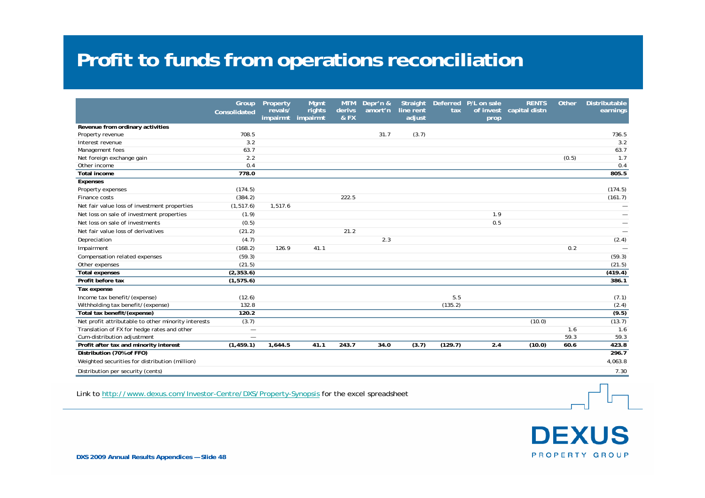#### **Profit to funds from operations reconciliation**

|                                                      | Group<br>Consolidated    | Property<br>revals/<br>impairmt | Mamt<br>rights<br>impairmt | <b>MTM</b><br>derivs<br>& FX | Depr'n &<br>amort'n | Straight<br>line rent<br>adjust | tax     | Deferred P/L on sale | <b>RENTS</b><br>of invest capital distn | Other | <b>Distributable</b><br>earnings |
|------------------------------------------------------|--------------------------|---------------------------------|----------------------------|------------------------------|---------------------|---------------------------------|---------|----------------------|-----------------------------------------|-------|----------------------------------|
|                                                      |                          |                                 |                            |                              |                     |                                 |         | prop                 |                                         |       |                                  |
| Revenue from ordinary activities<br>Property revenue | 708.5                    |                                 |                            |                              | 31.7                | (3.7)                           |         |                      |                                         |       | 736.5                            |
| Interest revenue                                     | 3.2                      |                                 |                            |                              |                     |                                 |         |                      |                                         |       | 3.2                              |
| Management fees                                      | 63.7                     |                                 |                            |                              |                     |                                 |         |                      |                                         |       | 63.7                             |
| Net foreign exchange gain                            | 2.2                      |                                 |                            |                              |                     |                                 |         |                      |                                         | (0.5) | 1.7                              |
| Other income                                         | 0.4                      |                                 |                            |                              |                     |                                 |         |                      |                                         |       | 0.4                              |
| <b>Total income</b>                                  | 778.0                    |                                 |                            |                              |                     |                                 |         |                      |                                         |       | 805.5                            |
| Expenses                                             |                          |                                 |                            |                              |                     |                                 |         |                      |                                         |       |                                  |
| Property expenses                                    | (174.5)                  |                                 |                            |                              |                     |                                 |         |                      |                                         |       | (174.5)                          |
| Finance costs                                        | (384.2)                  |                                 |                            | 222.5                        |                     |                                 |         |                      |                                         |       | (161.7)                          |
| Net fair value loss of investment properties         | (1, 517.6)               | 1.517.6                         |                            |                              |                     |                                 |         |                      |                                         |       |                                  |
| Net loss on sale of investment properties            | (1.9)                    |                                 |                            |                              |                     |                                 |         | 1.9                  |                                         |       |                                  |
| Net loss on sale of investments                      | (0.5)                    |                                 |                            |                              |                     |                                 |         | 0.5                  |                                         |       |                                  |
| Net fair value loss of derivatives                   | (21.2)                   |                                 |                            | 21.2                         |                     |                                 |         |                      |                                         |       |                                  |
| Depreciation                                         | (4.7)                    |                                 |                            |                              | 2.3                 |                                 |         |                      |                                         |       | (2.4)                            |
| Impairment                                           | (168.2)                  | 126.9                           | 41.1                       |                              |                     |                                 |         |                      |                                         | 0.2   |                                  |
| Compensation related expenses                        | (59.3)                   |                                 |                            |                              |                     |                                 |         |                      |                                         |       | (59.3)                           |
| Other expenses                                       | (21.5)                   |                                 |                            |                              |                     |                                 |         |                      |                                         |       | (21.5)                           |
| <b>Total expenses</b>                                | (2, 353.6)               |                                 |                            |                              |                     |                                 |         |                      |                                         |       | (419.4)                          |
| Profit before tax                                    | (1, 575.6)               |                                 |                            |                              |                     |                                 |         |                      |                                         |       | 386.1                            |
| Tax expense                                          |                          |                                 |                            |                              |                     |                                 |         |                      |                                         |       |                                  |
| Income tax benefit/(expense)                         | (12.6)                   |                                 |                            |                              |                     |                                 | 5.5     |                      |                                         |       | (7.1)                            |
| Withholding tax benefit/(expense)                    | 132.8                    |                                 |                            |                              |                     |                                 | (135.2) |                      |                                         |       | (2.4)                            |
| Total tax benefit/(expense)                          | 120.2                    |                                 |                            |                              |                     |                                 |         |                      |                                         |       | (9.5)                            |
| Net profit attributable to other minority interests  | (3.7)                    |                                 |                            |                              |                     |                                 |         |                      | (10.0)                                  |       | (13.7)                           |
| Translation of FX for hedge rates and other          | $\overline{\phantom{0}}$ |                                 |                            |                              |                     |                                 |         |                      |                                         | 1.6   | 1.6                              |
| Cum-distribution adjustment                          | $\qquad \qquad -$        |                                 |                            |                              |                     |                                 |         |                      |                                         | 59.3  | 59.3                             |
| Profit after tax and minority interest               | (1, 459.1)               | 1.644.5                         | 41.1                       | 243.7                        | 34.0                | (3.7)                           | (129.7) | 2.4                  | (10.0)                                  | 60.6  | 423.8                            |
| Distribution (70% of FFO)                            |                          |                                 |                            |                              |                     |                                 |         |                      |                                         |       | 296.7                            |
| Weighted securities for distribution (million)       |                          |                                 |                            |                              |                     |                                 |         |                      |                                         |       | 4,063.8                          |
| Distribution per security (cents)                    |                          |                                 |                            |                              |                     |                                 |         |                      |                                         |       | 7.30                             |

Link to http://www.dexus.com/Investor-Centre/DXS/Property-Synopsis for the excel spreadsheet

**DEXUS** PROPERTY GROUP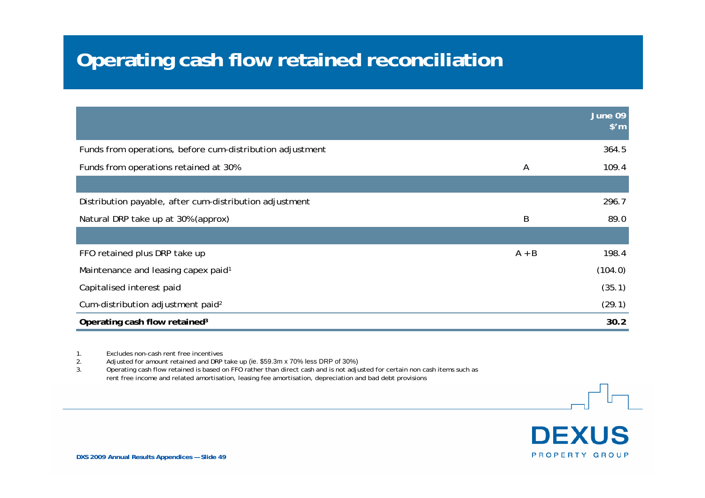#### **Operating cash flow retained reconciliation**

|                                                           |                | June 09<br>$$^{\prime}$ m |
|-----------------------------------------------------------|----------------|---------------------------|
| Funds from operations, before cum-distribution adjustment |                | 364.5                     |
| Funds from operations retained at 30%                     | $\overline{A}$ | 109.4                     |
|                                                           |                |                           |
| Distribution payable, after cum-distribution adjustment   |                | 296.7                     |
| Natural DRP take up at 30% (approx)                       | B              | 89.0                      |
|                                                           |                |                           |
| FFO retained plus DRP take up                             | $A + B$        | 198.4                     |
| Maintenance and leasing capex paid <sup>1</sup>           |                | (104.0)                   |
| Capitalised interest paid                                 |                | (35.1)                    |
| Cum-distribution adjustment paid <sup>2</sup>             |                | (29.1)                    |
| Operating cash flow retained <sup>3</sup>                 |                | 30.2                      |

1. Excludes non-cash rent free incentives

2. Adjusted for amount retained and DRP take up (ie. \$59.3m x 70% less DRP of 30%)<br>3. Operating cash flow retained is based on FFO rather than direct cash and is not adju

3. Operating cash flow retained is based on FFO rather than direct cash and is not adjusted for certain non cash items such as rent free income and related amortisation, leasing fee amortisation, depreciation and bad debt provisions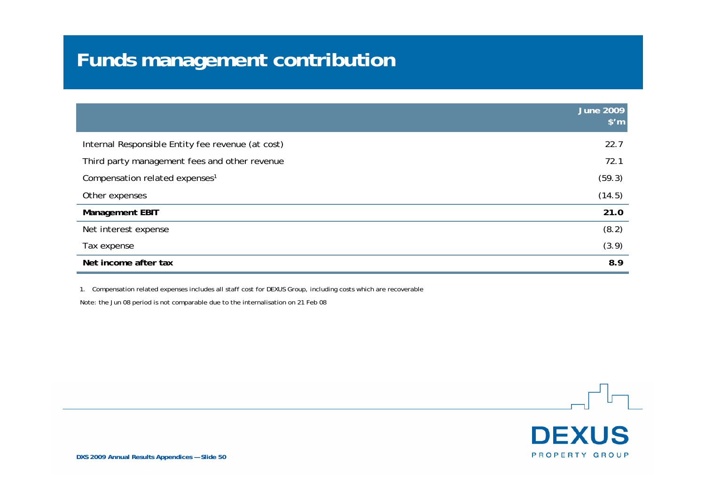# **Funds management contribution**

|                                                   | <b>June 2009</b><br>$$^{\prime}$ m |
|---------------------------------------------------|------------------------------------|
| Internal Responsible Entity fee revenue (at cost) | 22.7                               |
| Third party management fees and other revenue     | 72.1                               |
| Compensation related expenses <sup>1</sup>        | (59.3)                             |
| Other expenses                                    | (14.5)                             |
| <b>Management EBIT</b>                            | 21.0                               |
| Net interest expense                              | (8.2)                              |
| Tax expense                                       | (3.9)                              |
| Net income after tax                              | 8.9                                |

1. Compensation related expenses includes all staff cost for DEXUS Group, including costs which are recoverable

Note: the Jun 08 period is not comparable due to the internalisation on 21 Feb 08

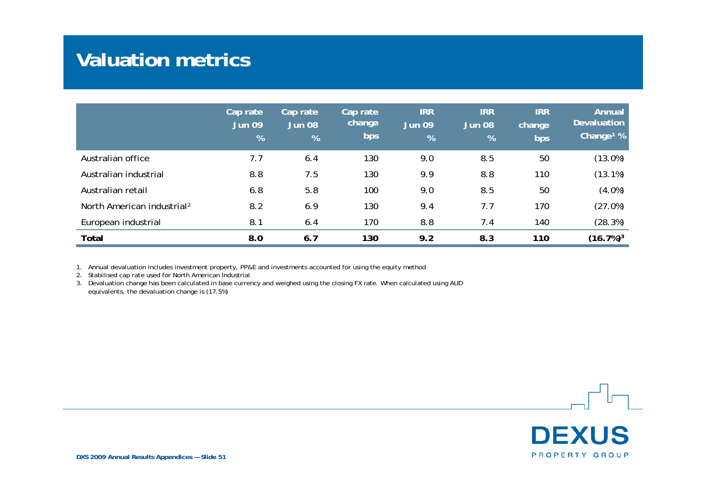#### **Valuation metrics**

|                                        | Cap rate<br><b>Jun 09</b><br>% | Cap rate<br><b>Jun 08</b><br>% | Cap rate<br>change<br>bps | <b>IRR</b><br>Jun 09<br>% | <b>IRR</b><br><b>Jun 08</b><br>$\frac{9}{6}$ | <b>IRR</b><br>change<br>bps | Annual<br><b>Devaluation</b><br>Change <sup>1</sup> $%$ |
|----------------------------------------|--------------------------------|--------------------------------|---------------------------|---------------------------|----------------------------------------------|-----------------------------|---------------------------------------------------------|
| Australian office                      | 7.7                            | 6.4                            | 130                       | 9.0                       | 8.5                                          | 50                          | (13.0%)                                                 |
| Australian industrial                  | 8.8                            | 7.5                            | 130                       | 9.9                       | 8.8                                          | 110                         | (13.1%)                                                 |
| Australian retail                      | 6.8                            | 5.8                            | 100                       | 9.0                       | 8.5                                          | 50                          | $(4.0\%)$                                               |
| North American industrial <sup>2</sup> | 8.2                            | 6.9                            | 130                       | 9.4                       | 7.7                                          | 170                         | (27.0%)                                                 |
| European industrial                    | 8.1                            | 6.4                            | 170                       | 8.8                       | 7.4                                          | 140                         | (28.3%)                                                 |
| Total                                  | 8.0                            | 6.7                            | 130                       | 9.2                       | 8.3                                          | 110                         | $(16.7%)$ <sup>3</sup>                                  |

1. Annual devaluation includes investment property, PP&E and investments accounted for using the equity method

2. Stabilised cap rate used for North American Industrial

3. Devaluation change has been calculated in base currency and weighed using the closing FX rate. When calculated using AUD equivalents, the devaluation change is (17.5%)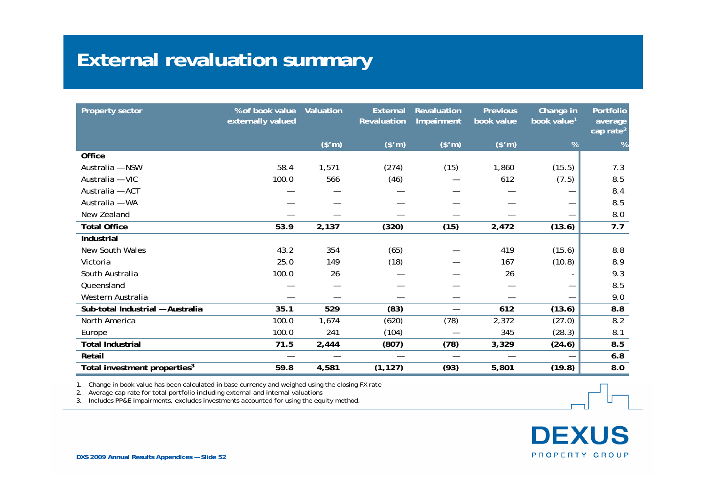#### **External revaluation summary**

| <b>Property sector</b>                   | % of book value<br>externally valued | Valuation | <b>External</b><br>Revaluation | Revaluation<br>Impairment | <b>Previous</b><br>book value | Change in<br>book value <sup>1</sup> | Portfolio<br>average<br>cap rate <sup>2</sup> |
|------------------------------------------|--------------------------------------|-----------|--------------------------------|---------------------------|-------------------------------|--------------------------------------|-----------------------------------------------|
|                                          |                                      | (\$m)     | (\$m)                          | (\$m)                     | (\$m)                         | %                                    | %                                             |
| <b>Office</b>                            |                                      |           |                                |                           |                               |                                      |                                               |
| Australia - NSW                          | 58.4                                 | 1,571     | (274)                          | (15)                      | 1,860                         | (15.5)                               | 7.3                                           |
| Australia - VIC                          | 100.0                                | 566       | (46)                           |                           | 612                           | (7.5)                                | 8.5                                           |
| Australia - ACT                          |                                      |           |                                |                           |                               |                                      | 8.4                                           |
| Australia - WA                           |                                      |           |                                |                           |                               | —                                    | 8.5                                           |
| New Zealand                              |                                      |           |                                |                           |                               | —                                    | $8.0\,$                                       |
| <b>Total Office</b>                      | 53.9                                 | 2,137     | (320)                          | (15)                      | 2,472                         | (13.6)                               | 7.7                                           |
| Industrial                               |                                      |           |                                |                           |                               |                                      |                                               |
| New South Wales                          | 43.2                                 | 354       | (65)                           |                           | 419                           | (15.6)                               | 8.8                                           |
| Victoria                                 | 25.0                                 | 149       | (18)                           |                           | 167                           | (10.8)                               | 8.9                                           |
| South Australia                          | 100.0                                | 26        |                                |                           | 26                            |                                      | 9.3                                           |
| Queensland                               |                                      |           |                                |                           |                               | —                                    | 8.5                                           |
| Western Australia                        |                                      |           |                                |                           |                               | —                                    | 9.0                                           |
| Sub-total Industrial - Australia         | 35.1                                 | 529       | (83)                           | $\overline{\phantom{m}}$  | 612                           | (13.6)                               | 8.8                                           |
| North America                            | 100.0                                | 1,674     | (620)                          | (78)                      | 2,372                         | (27.0)                               | 8.2                                           |
| Europe                                   | 100.0                                | 241       | (104)                          |                           | 345                           | (28.3)                               | 8.1                                           |
| <b>Total Industrial</b>                  | 71.5                                 | 2,444     | (807)                          | (78)                      | 3,329                         | (24.6)                               | 8.5                                           |
| Retail                                   |                                      | —         |                                |                           |                               | $\overline{\phantom{0}}$             | 6.8                                           |
| Total investment properties <sup>3</sup> | 59.8                                 | 4,581     | (1, 127)                       | (93)                      | 5,801                         | (19.8)                               | 8.0                                           |

1. Change in book value has been calculated in base currency and weighed using the closing FX rate

2. Average cap rate for total portfolio including external and internal valuations

3. Includes PP&E impairments, excludes investments accounted for using the equity method.

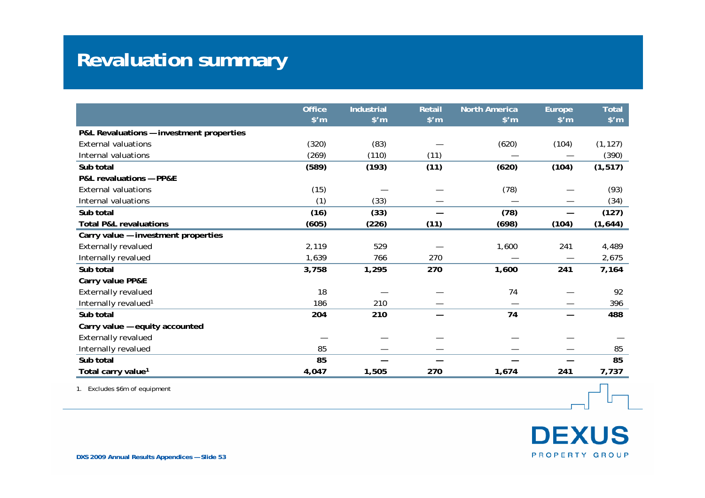# **Revaluation summary**

|                                          | <b>Office</b><br>$$^{\prime}$ m | <b>Industrial</b><br>$$^{\prime}$ m | Retail<br>$$^{\prime}$ m | <b>North America</b><br>$$^{\prime}$ m | Europe<br>$$^{\prime}$ m | <b>Total</b><br>$$^{\prime}$ m |
|------------------------------------------|---------------------------------|-------------------------------------|--------------------------|----------------------------------------|--------------------------|--------------------------------|
| P&L Revaluations - investment properties |                                 |                                     |                          |                                        |                          |                                |
| <b>External valuations</b>               | (320)                           | (83)                                |                          | (620)                                  | (104)                    | (1, 127)                       |
| Internal valuations                      | (269)                           | (110)                               | (11)                     |                                        |                          | (390)                          |
| Sub total                                | (589)                           | (193)                               | (11)                     | (620)                                  | (104)                    | (1, 517)                       |
| P&L revaluations - PP&E                  |                                 |                                     |                          |                                        |                          |                                |
| <b>External valuations</b>               | (15)                            |                                     |                          | (78)                                   |                          | (93)                           |
| Internal valuations                      | (1)                             | (33)                                |                          |                                        |                          | (34)                           |
| Sub total                                | (16)                            | (33)                                |                          | (78)                                   |                          | (127)                          |
| <b>Total P&amp;L revaluations</b>        | (605)                           | (226)                               | (11)                     | (698)                                  | (104)                    | (1,644)                        |
| Carry value - investment properties      |                                 |                                     |                          |                                        |                          |                                |
| <b>Externally revalued</b>               | 2,119                           | 529                                 |                          | 1,600                                  | 241                      | 4,489                          |
| Internally revalued                      | 1,639                           | 766                                 | 270                      |                                        | $\overline{\phantom{0}}$ | 2,675                          |
| Sub total                                | 3,758                           | 1,295                               | 270                      | 1,600                                  | 241                      | 7,164                          |
| Carry value PP&E                         |                                 |                                     |                          |                                        |                          |                                |
| <b>Externally revalued</b>               | 18                              |                                     |                          | 74                                     |                          | 92                             |
| Internally revalued <sup>1</sup>         | 186                             | 210                                 |                          |                                        |                          | 396                            |
| Sub total                                | 204                             | 210                                 |                          | 74                                     |                          | 488                            |
| Carry value - equity accounted           |                                 |                                     |                          |                                        |                          |                                |
| <b>Externally revalued</b>               |                                 |                                     |                          |                                        |                          |                                |
| Internally revalued                      | 85                              |                                     |                          |                                        |                          | 85                             |
| Sub total                                | 85                              |                                     |                          |                                        |                          | 85                             |
| Total carry value <sup>1</sup>           | 4,047                           | 1,505                               | 270                      | 1,674                                  | 241                      | 7,737                          |

1. Excludes \$6m of equipment

**DEXUS** PROPERTY GROUP

In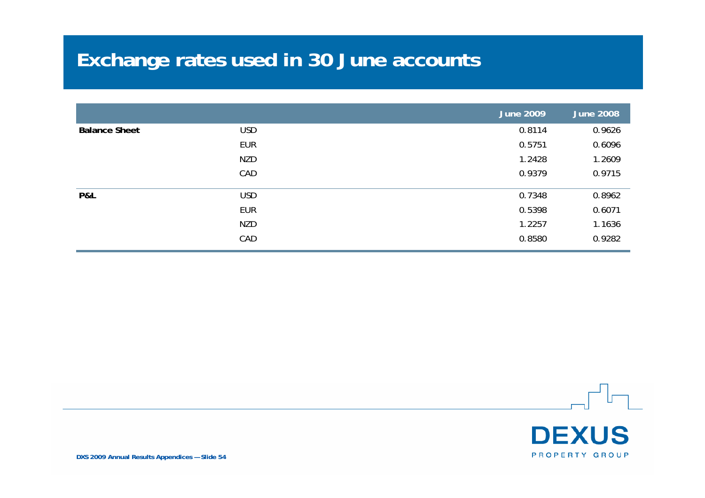# **Exchange rates used in 30 June accounts**

|                      |            | <b>June 2009</b> | <b>June 2008</b> |
|----------------------|------------|------------------|------------------|
| <b>Balance Sheet</b> | <b>USD</b> | 0.8114           | 0.9626           |
|                      | <b>EUR</b> | 0.5751           | 0.6096           |
|                      | <b>NZD</b> | 1.2428           | 1.2609           |
|                      | CAD        | 0.9379           | 0.9715           |
| P&L                  | <b>USD</b> | 0.7348           | 0.8962           |
|                      | <b>EUR</b> | 0.5398           | 0.6071           |
|                      | <b>NZD</b> | 1.2257           | 1.1636           |
|                      | CAD        | 0.8580           | 0.9282           |

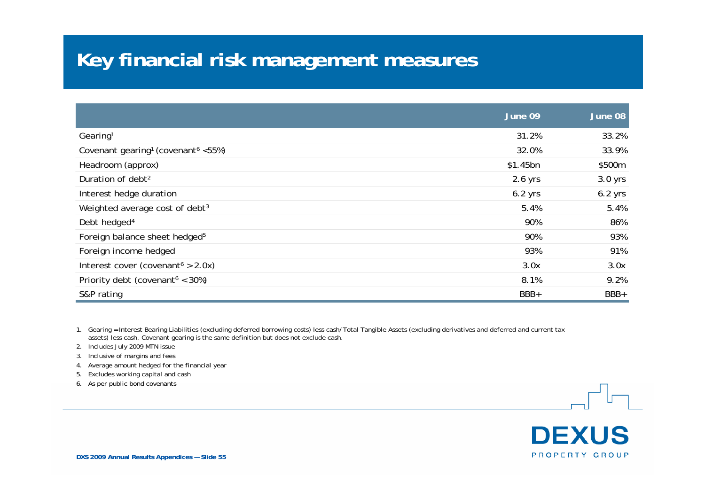#### **Key financial risk management measures**

|                                                            | June 09   | June 08   |
|------------------------------------------------------------|-----------|-----------|
| Gearing <sup>1</sup>                                       | 31.2%     | 33.2%     |
| Covenant gearing <sup>1</sup> (covenant <sup>6</sup> <55%) | 32.0%     | 33.9%     |
| Headroom (approx)                                          | \$1.45bn  | \$500m    |
| Duration of debt <sup>2</sup>                              | $2.6$ yrs | $3.0$ yrs |
| Interest hedge duration                                    | $6.2$ yrs | $6.2$ yrs |
| Weighted average cost of debt <sup>3</sup>                 | 5.4%      | 5.4%      |
| Debt hedged <sup>4</sup>                                   | 90%       | 86%       |
| Foreign balance sheet hedged <sup>5</sup>                  | 90%       | 93%       |
| Foreign income hedged                                      | 93%       | 91%       |
| Interest cover (covenant <sup><math>6</math></sup> > 2.0x) | 3.0x      | 3.0x      |
| Priority debt (covenant <sup>6</sup> < 30%)                | 8.1%      | 9.2%      |
| S&P rating                                                 | BBB+      | BBB+      |

1. Gearing = Interest Bearing Liabilities (excluding deferred borrowing costs) less cash/Total Tangible Assets (excluding derivatives and deferred and current tax assets) less cash. Covenant gearing is the same definition but does not exclude cash.

2. Includes July 2009 MTN issue

3. Inclusive of margins and fees

4. Average amount hedged for the financial year

5. Excludes working capital and cash

6. As per public bond covenants

**DEXUS** PROPERTY GROUP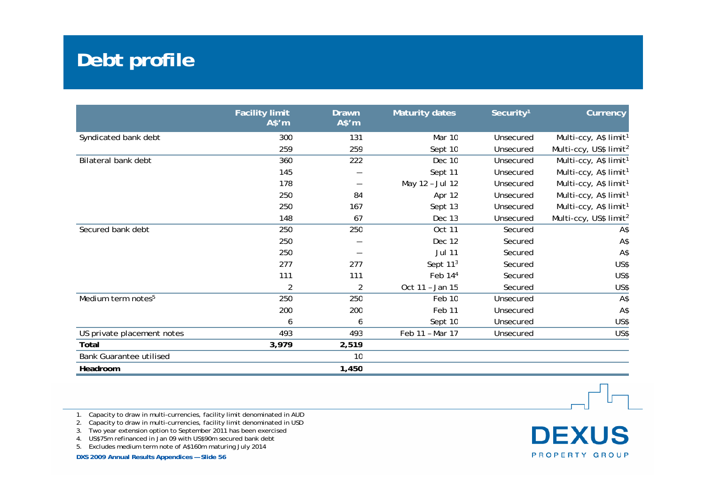# **Debt profile**

|                                | <b>Facility limit</b><br>A\$'m | <b>Drawn</b><br>A\$'m | <b>Maturity dates</b> | Security <sup>1</sup> | Currency                           |
|--------------------------------|--------------------------------|-----------------------|-----------------------|-----------------------|------------------------------------|
| Syndicated bank debt           | 300                            | 131                   | Mar 10                | Unsecured             | Multi-ccy, A\$ limit <sup>1</sup>  |
|                                | 259                            | 259                   | Sept 10               | Unsecured             | Multi-ccy, US\$ limit <sup>2</sup> |
| Bilateral bank debt            | 360                            | 222                   | Dec 10                | Unsecured             | Multi-ccy, A\$ limit <sup>1</sup>  |
|                                | 145                            |                       | Sept 11               | Unsecured             | Multi-ccy, A\$ limit <sup>1</sup>  |
|                                | 178                            |                       | May 12 - Jul 12       | Unsecured             | Multi-ccy, A\$ limit <sup>1</sup>  |
|                                | 250                            | 84                    | Apr 12                | Unsecured             | Multi-ccy, A\$ limit <sup>1</sup>  |
|                                | 250                            | 167                   | Sept 13               | Unsecured             | Multi-ccy, A\$ limit <sup>1</sup>  |
|                                | 148                            | 67                    | Dec 13                | Unsecured             | Multi-ccy, US\$ limit <sup>2</sup> |
| Secured bank debt              | 250                            | 250                   | <b>Oct 11</b>         | Secured               | A\$                                |
|                                | 250                            |                       | Dec 12                | Secured               | A\$                                |
|                                | 250                            |                       | <b>Jul 11</b>         | Secured               | A\$                                |
|                                | 277                            | 277                   | Sept 11 <sup>3</sup>  | Secured               | US\$                               |
|                                | 111                            | 111                   | Feb 14 <sup>4</sup>   | Secured               | US\$                               |
|                                | 2                              | $\overline{2}$        | Oct 11 - Jan 15       | Secured               | US\$                               |
| Medium term notes <sup>5</sup> | 250                            | 250                   | Feb 10                | Unsecured             | A\$                                |
|                                | 200                            | 200                   | Feb 11                | Unsecured             | A\$                                |
|                                | 6                              | 6                     | Sept 10               | Unsecured             | US\$                               |
| US private placement notes     | 493                            | 493                   | Feb 11 - Mar 17       | Unsecured             | US\$                               |
| Total                          | 3,979                          | 2,519                 |                       |                       |                                    |
| <b>Bank Guarantee utilised</b> |                                | 10                    |                       |                       |                                    |
| Headroom                       |                                | 1,450                 |                       |                       |                                    |

1. Capacity to draw in multi-currencies, facility limit denominated in AUD

2. Capacity to draw in multi-currencies, facility limit denominated in USD

3. Two year extension option to September 2011 has been exercised

4. US\$75m refinanced in Jan 09 with US\$90m secured bank debt

5. Excludes medium term note of A\$160m maturing July 2014

**DXS 2009 Annual Results Appendices — Slide 56**

**DEXUS** PROPERTY GROUP

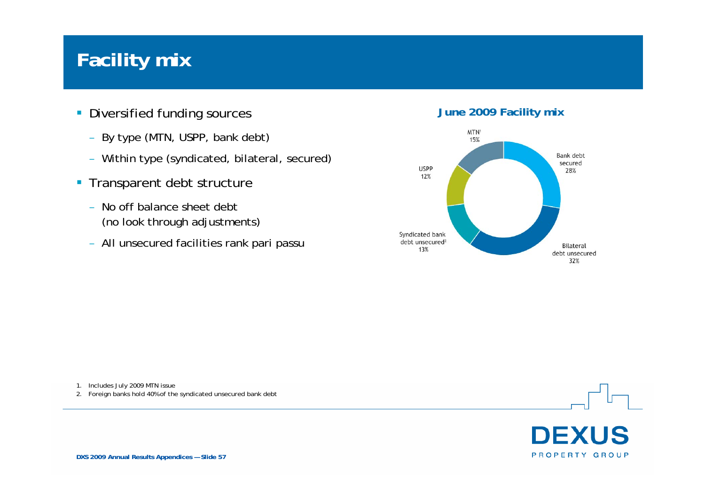#### **Facility mix**

- **Diversified funding sources June 2009 Facility mix** 
	- By type (MTN, USPP, bank debt)
	- Within type (syndicated, bilateral, secured)
- **Transparent debt structure** 
	- $\overline{\phantom{a}}$  No off balance sheet debt (no look through adjustments)
	- All unsecured facilities rank pari passu



1. Includes July 2009 MTN issue

2. Foreign banks hold 40% of the syndicated unsecured bank debt



**DXS 2009 Annual Results Appendices — Slide 57**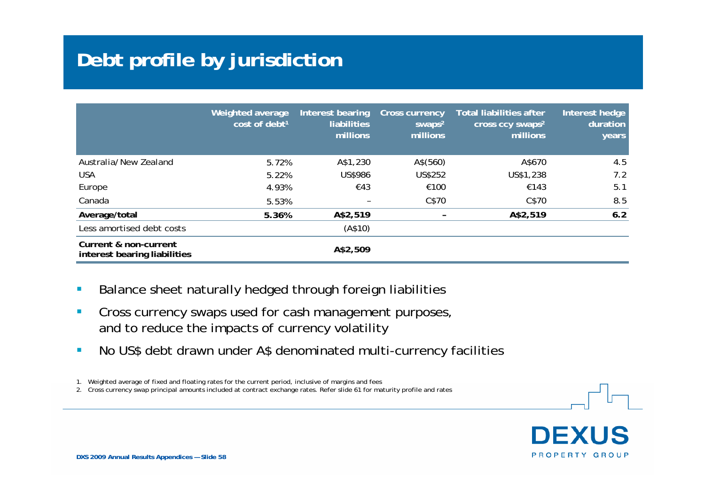# **Debt profile by jurisdiction**

|                                                       | Weighted average<br>cost of debt <sup>1</sup> | Interest bearing<br><b>liabilities</b><br>millions | <b>Cross currency</b><br>swaps <sup>2</sup><br>millions | <b>Total liabilities after</b><br>cross ccy swaps <sup>2</sup><br>millions | Interest hedge<br>duration<br>years |
|-------------------------------------------------------|-----------------------------------------------|----------------------------------------------------|---------------------------------------------------------|----------------------------------------------------------------------------|-------------------------------------|
| Australia/New Zealand                                 | 5.72%                                         | A\$1,230                                           | A\$(560)                                                | A\$670                                                                     | 4.5                                 |
| <b>USA</b>                                            | 5.22%                                         | US\$986                                            | US\$252                                                 | US\$1,238                                                                  | 7.2                                 |
| Europe                                                | 4.93%                                         | €43                                                | €100                                                    | €143                                                                       | 5.1                                 |
| Canada                                                | 5.53%                                         |                                                    | C\$70                                                   | C\$70                                                                      | 8.5                                 |
| Average/total                                         | 5.36%                                         | A\$2,519                                           |                                                         | A\$2,519                                                                   | 6.2                                 |
| Less amortised debt costs                             |                                               | (A\$10)                                            |                                                         |                                                                            |                                     |
| Current & non-current<br>interest bearing liabilities |                                               | A\$2,509                                           |                                                         |                                                                            |                                     |

- $\overline{\phantom{a}}$ Balance sheet naturally hedged through foreign liabilities
- $\blacksquare$  Cross currency swaps used for cash management purposes, and to reduce the impacts of currency volatility
- $\mathcal{L}_{\mathcal{A}}$ No US\$ debt drawn under A\$ denominated multi-currency facilities

1. Weighted average of fixed and floating rates for the current period, inclusive of margins and fees

2. Cross currency swap principal amounts included at contract exchange rates. Refer slide 61 for maturity profile and rates

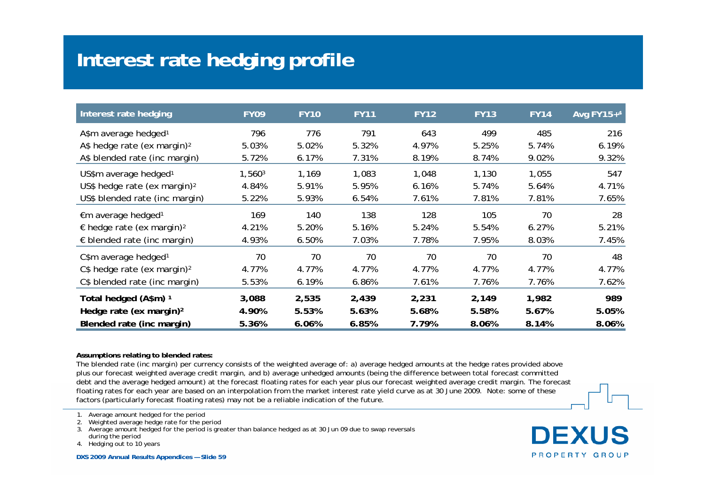# **Interest rate hedging profile**

| Interest rate hedging                          | <b>FY09</b> | <b>FY10</b> | <b>FY11</b> | <b>FY12</b> | <b>FY13</b> | <b>FY14</b> | Avg FY15+4 |
|------------------------------------------------|-------------|-------------|-------------|-------------|-------------|-------------|------------|
| A\$m average hedged <sup>1</sup>               | 796         | 776         | 791         | 643         | 499         | 485         | 216        |
| A\$ hedge rate (ex margin) <sup>2</sup>        | 5.03%       | 5.02%       | 5.32%       | 4.97%       | 5.25%       | 5.74%       | 6.19%      |
| A\$ blended rate (inc margin)                  | 5.72%       | 6.17%       | 7.31%       | 8.19%       | 8.74%       | 9.02%       | 9.32%      |
| US\$m average hedged <sup>1</sup>              | 1,5603      | 1,169       | 1,083       | 1,048       | 1,130       | 1,055       | 547        |
| US\$ hedge rate (ex margin) <sup>2</sup>       | 4.84%       | 5.91%       | 5.95%       | 6.16%       | 5.74%       | 5.64%       | 4.71%      |
| US\$ blended rate (inc margin)                 | 5.22%       | 5.93%       | 6.54%       | 7.61%       | 7.81%       | 7.81%       | 7.65%      |
| €m average hedged <sup>1</sup>                 | 169         | 140         | 138         | 128         | 105         | 70          | 28         |
| $\epsilon$ hedge rate (ex margin) <sup>2</sup> | 4.21%       | 5.20%       | 5.16%       | 5.24%       | 5.54%       | 6.27%       | 5.21%      |
| $\epsilon$ blended rate (inc margin)           | 4.93%       | 6.50%       | 7.03%       | 7.78%       | 7.95%       | 8.03%       | 7.45%      |
| C\$m average hedged <sup>1</sup>               | 70          | 70          | 70          | 70          | 70          | 70          | 48         |
| $C$$ hedge rate (ex margin) <sup>2</sup>       | 4.77%       | 4.77%       | 4.77%       | 4.77%       | 4.77%       | 4.77%       | 4.77%      |
| C\$ blended rate (inc margin)                  | 5.53%       | 6.19%       | 6.86%       | 7.61%       | 7.76%       | 7.76%       | 7.62%      |
| Total hedged (A\$m) 1                          | 3,088       | 2,535       | 2,439       | 2,231       | 2,149       | 1,982       | 989        |
| Hedge rate (ex margin) <sup>2</sup>            | 4.90%       | 5.53%       | 5.63%       | 5.68%       | 5.58%       | 5.67%       | 5.05%      |
| Blended rate (inc margin)                      | 5.36%       | 6.06%       | 6.85%       | 7.79%       | 8.06%       | 8.14%       | 8.06%      |

#### **Assumptions relating to blended rates:**

The blended rate (inc margin) per currency consists of the weighted average of: a) average hedged amounts at the hedge rates provided above plus our forecast weighted average credit margin, and b) average unhedged amounts (being the difference between total forecast committed debt and the average hedged amount) at the forecast floating rates for each year plus our forecast weighted average credit margin. The forecast floating rates for each year are based on an interpolation from the market interest rate yield curve as at 30 June 2009. Note: some of these factors (particularly forecast floating rates) may not be a reliable indication of the future.

2. Weighted average hedge rate for the period

3. Average amount hedged for the period is greater than balance hedged as at 30 Jun 09 due to swap reversals

during the period

4. Hedging out to 10 years

**DEXUS** PROPERTY GROUP

<sup>1.</sup> Average amount hedged for the period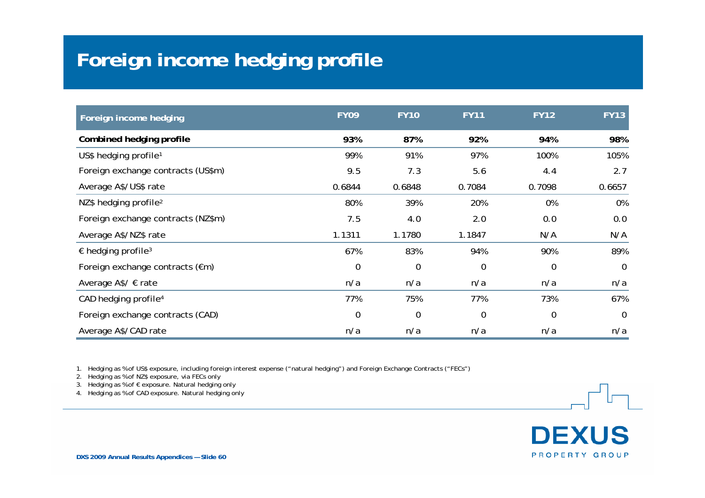# **Foreign income hedging profile**

| Foreign income hedging                  | <b>FY09</b> | <b>FY10</b> | <b>FY11</b> | <b>FY12</b> | <b>FY13</b>    |
|-----------------------------------------|-------------|-------------|-------------|-------------|----------------|
| Combined hedging profile                | 93%         | 87%         | 92%         | 94%         | 98%            |
| US\$ hedging profile <sup>1</sup>       | 99%         | 91%         | 97%         | 100%        | 105%           |
| Foreign exchange contracts (US\$m)      | 9.5         | 7.3         | 5.6         | 4.4         | 2.7            |
| Average A\$/US\$ rate                   | 0.6844      | 0.6848      | 0.7084      | 0.7098      | 0.6657         |
| NZ\$ hedging profile <sup>2</sup>       | 80%         | 39%         | 20%         | 0%          | 0%             |
| Foreign exchange contracts (NZ\$m)      | 7.5         | 4.0         | 2.0         | 0.0         | 0.0            |
| Average A\$/NZ\$ rate                   | 1.1311      | 1.1780      | 1.1847      | N/A         | N/A            |
| $\epsilon$ hedging profile <sup>3</sup> | 67%         | 83%         | 94%         | 90%         | 89%            |
| Foreign exchange contracts (€m)         | $\mathbf 0$ | 0           | $\mathbf 0$ | $\mathbf 0$ | $\overline{0}$ |
| Average A\$/ $∈$ rate                   | n/a         | n/a         | n/a         | n/a         | n/a            |
| CAD hedging profile <sup>4</sup>        | 77%         | 75%         | 77%         | 73%         | 67%            |
| Foreign exchange contracts (CAD)        | $\mathbf 0$ | 0           | $\mathbf 0$ | $\mathbf 0$ | $\overline{0}$ |
| Average A\$/CAD rate                    | n/a         | n/a         | n/a         | n/a         | n/a            |

1. Hedging as % of US\$ exposure, including foreign interest expense ("natural hedging") and Foreign Exchange Contracts ("FECs")

2. Hedging as % of NZ\$ exposure, via FECs only

3. Hedging as % of € exposure. Natural hedging only

4. Hedging as % of CAD exposure. Natural hedging only

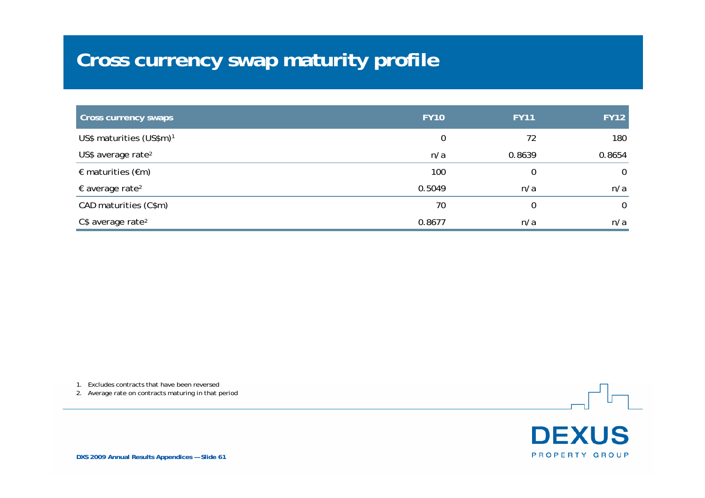# **Cross currency swap maturity profile**

| <b>Cross currency swaps</b>          | <b>FY10</b> | <b>FY11</b> | <b>FY12</b>    |
|--------------------------------------|-------------|-------------|----------------|
| US\$ maturities (US\$m) <sup>1</sup> | 0           | 72          | 180            |
| US\$ average rate <sup>2</sup>       | n/a         | 0.8639      | 0.8654         |
| € maturities ( $€m$ )                | 100         | 0           | $\overline{0}$ |
| $\epsilon$ average rate <sup>2</sup> | 0.5049      | n/a         | n/a            |
| CAD maturities (C\$m)                | 70          | 0           | $\overline{0}$ |
| C\$ average rate <sup>2</sup>        | 0.8677      | n/a         | n/a            |

1. Excludes contracts that have been reversed

2. Average rate on contracts maturing in that period



**DXS 2009 Annual Results Appendices — Slide 61**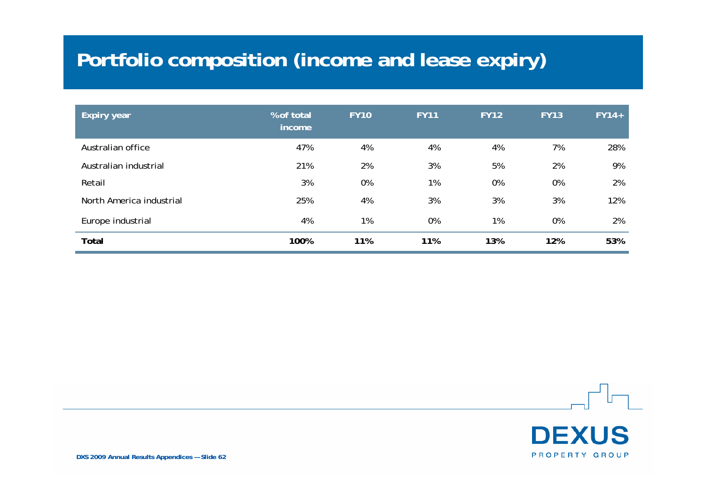# **Portfolio composition (income and lease expiry)**

| <b>Expiry year</b>       | % of total<br>income | <b>FY10</b> | <b>FY11</b> | <b>FY12</b> | <b>FY13</b> | $FY14+$ |
|--------------------------|----------------------|-------------|-------------|-------------|-------------|---------|
| Australian office        | 47%                  | 4%          | 4%          | 4%          | 7%          | 28%     |
| Australian industrial    | 21%                  | 2%          | 3%          | 5%          | 2%          | 9%      |
| Retail                   | 3%                   | 0%          | 1%          | 0%          | 0%          | 2%      |
| North America industrial | 25%                  | 4%          | 3%          | 3%          | 3%          | 12%     |
| Europe industrial        | 4%                   | 1%          | 0%          | 1%          | 0%          | 2%      |
| <b>Total</b>             | 100%                 | 11%         | 11%         | 13%         | 12%         | 53%     |

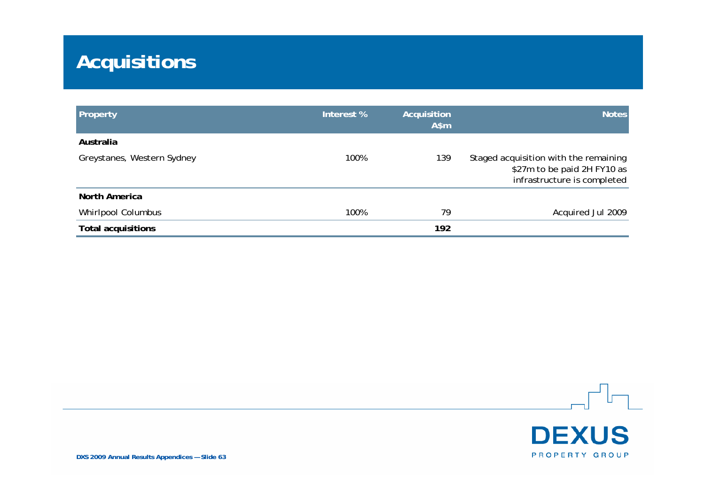# **Acquisitions**

| Property                   | Interest % | Acquisition<br>$A$ \$m | <b>Notes</b>                                                                                        |
|----------------------------|------------|------------------------|-----------------------------------------------------------------------------------------------------|
| Australia                  |            |                        |                                                                                                     |
| Greystanes, Western Sydney | 100%       | 139                    | Staged acquisition with the remaining<br>\$27m to be paid 2H FY10 as<br>infrastructure is completed |
| North America              |            |                        |                                                                                                     |
| Whirlpool Columbus         | 100%       | 79                     | Acquired Jul 2009                                                                                   |
| <b>Total acquisitions</b>  |            | 192                    |                                                                                                     |

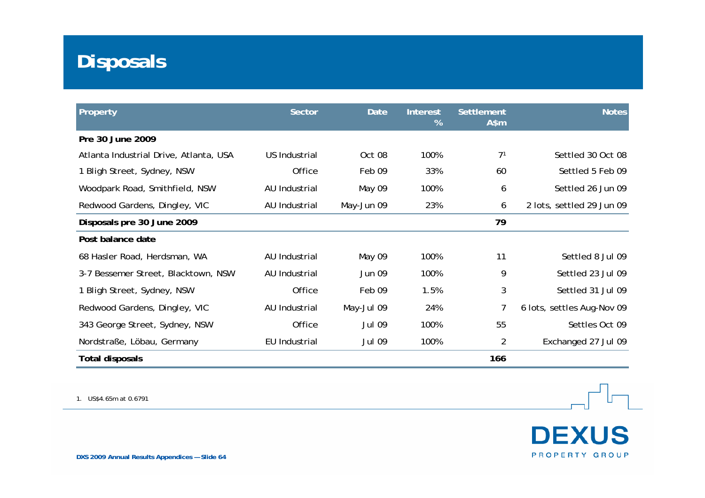# **Disposals**

| Property                               | <b>Sector</b> | Date          | <b>Interest</b><br>% | Settlement<br>$A$ \$m | <b>Notes</b>               |
|----------------------------------------|---------------|---------------|----------------------|-----------------------|----------------------------|
| Pre 30 June 2009                       |               |               |                      |                       |                            |
| Atlanta Industrial Drive, Atlanta, USA | US Industrial | Oct 08        | 100%                 | 7 <sup>1</sup>        | Settled 30 Oct 08          |
| 1 Bligh Street, Sydney, NSW            | Office        | Feb 09        | 33%                  | 60                    | Settled 5 Feb 09           |
| Woodpark Road, Smithfield, NSW         | AU Industrial | May 09        | 100%                 | 6                     | Settled 26 Jun 09          |
| Redwood Gardens, Dingley, VIC          | AU Industrial | May-Jun 09    | 23%                  | 6                     | 2 lots, settled 29 Jun 09  |
| Disposals pre 30 June 2009             |               |               |                      | 79                    |                            |
| Post balance date                      |               |               |                      |                       |                            |
| 68 Hasler Road, Herdsman, WA           | AU Industrial | May 09        | 100%                 | 11                    | Settled 8 Jul 09           |
| 3-7 Bessemer Street, Blacktown, NSW    | AU Industrial | <b>Jun 09</b> | 100%                 | 9                     | Settled 23 Jul 09          |
| 1 Bligh Street, Sydney, NSW            | Office        | Feb 09        | 1.5%                 | 3                     | Settled 31 Jul 09          |
| Redwood Gardens, Dingley, VIC          | AU Industrial | May-Jul 09    | 24%                  | 7                     | 6 lots, settles Aug-Nov 09 |
| 343 George Street, Sydney, NSW         | Office        | <b>Jul 09</b> | 100%                 | 55                    | Settles Oct 09             |
| Nordstraße, Löbau, Germany             | EU Industrial | <b>Jul 09</b> | 100%                 | $\overline{2}$        | Exchanged 27 Jul 09        |
| <b>Total disposals</b>                 |               |               |                      | 166                   |                            |

1. US\$4.65m at 0.6791

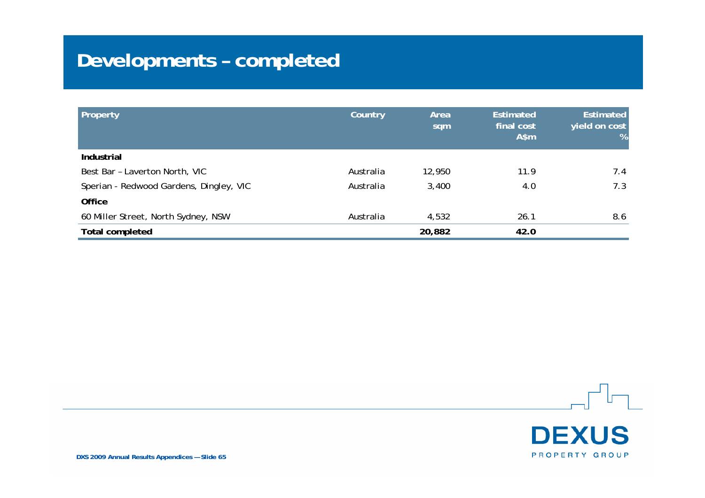# **Developments – completed**

| Property                                | Country   | Area<br>sqm | <b>Estimated</b><br>final cost<br>$A$ \$m | <b>Estimated</b><br>yield on cost<br>% |
|-----------------------------------------|-----------|-------------|-------------------------------------------|----------------------------------------|
| <b>Industrial</b>                       |           |             |                                           |                                        |
| Best Bar - Laverton North, VIC          | Australia | 12,950      | 11.9                                      | 7.4                                    |
| Sperian - Redwood Gardens, Dingley, VIC | Australia | 3,400       | 4.0                                       | 7.3                                    |
| <b>Office</b>                           |           |             |                                           |                                        |
| 60 Miller Street, North Sydney, NSW     | Australia | 4,532       | 26.1                                      | 8.6                                    |
| <b>Total completed</b>                  |           | 20,882      | 42.0                                      |                                        |

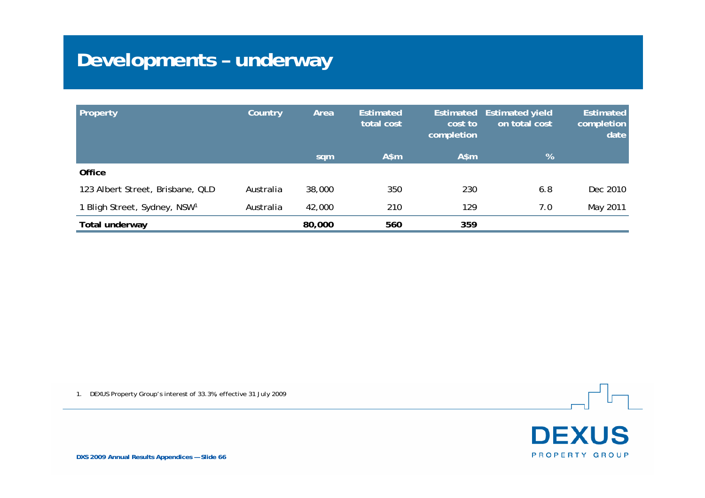# **Developments – underway**

| Property                                 | Country   | Area   | <b>Estimated</b><br>total cost | cost to<br>completion | Estimated Estimated yield<br>on total cost | <b>Estimated</b><br>completion<br>date |
|------------------------------------------|-----------|--------|--------------------------------|-----------------------|--------------------------------------------|----------------------------------------|
|                                          |           | sqm    | $A$ \$m                        | A\$m                  | %                                          |                                        |
| Office                                   |           |        |                                |                       |                                            |                                        |
| 123 Albert Street, Brisbane, QLD         | Australia | 38,000 | 350                            | 230                   | 6.8                                        | Dec 2010                               |
| 1 Bligh Street, Sydney, NSW <sup>1</sup> | Australia | 42,000 | 210                            | 129                   | 7.0                                        | May 2011                               |
| Total underway                           |           | 80,000 | 560                            | 359                   |                                            |                                        |

1. DEXUS Property Group's interest of 33.3%, effective 31 July 2009



**DXS 2009 Annual Results Appendices — Slide 66**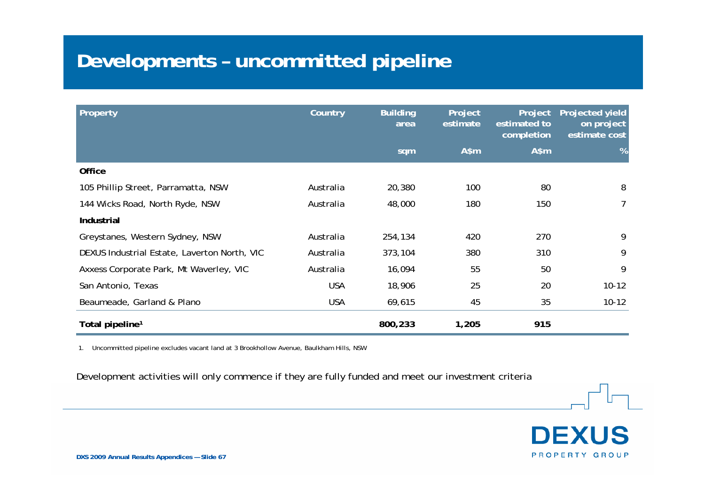#### **Developments – uncommitted pipeline**

| Property                                     | Country    | <b>Building</b><br>area | Project<br>estimate | Project<br>estimated to<br>completion | Projected yield<br>on project<br>estimate cost |
|----------------------------------------------|------------|-------------------------|---------------------|---------------------------------------|------------------------------------------------|
|                                              |            | sqm                     | $A$ \$m             | A\$m                                  | %                                              |
| Office                                       |            |                         |                     |                                       |                                                |
| 105 Phillip Street, Parramatta, NSW          | Australia  | 20,380                  | 100                 | 80                                    | 8                                              |
| 144 Wicks Road, North Ryde, NSW              | Australia  | 48,000                  | 180                 | 150                                   | 7                                              |
| Industrial                                   |            |                         |                     |                                       |                                                |
| Greystanes, Western Sydney, NSW              | Australia  | 254,134                 | 420                 | 270                                   | 9                                              |
| DEXUS Industrial Estate, Laverton North, VIC | Australia  | 373,104                 | 380                 | 310                                   | 9                                              |
| Axxess Corporate Park, Mt Waverley, VIC      | Australia  | 16,094                  | 55                  | 50                                    | 9                                              |
| San Antonio, Texas                           | <b>USA</b> | 18,906                  | 25                  | 20                                    | $10 - 12$                                      |
| Beaumeade, Garland & Plano                   | <b>USA</b> | 69,615                  | 45                  | 35                                    | $10 - 12$                                      |
| Total pipeline <sup>1</sup>                  |            | 800,233                 | 1,205               | 915                                   |                                                |

1. Uncommitted pipeline excludes vacant land at 3 Brookhollow Avenue, Baulkham Hills, NSW

Development activities will only commence if they are fully funded and meet our investment criteria

**DEXUS** PROPERTY GROUP

**DXS 2009 Annual Results Appendices — Slide 67**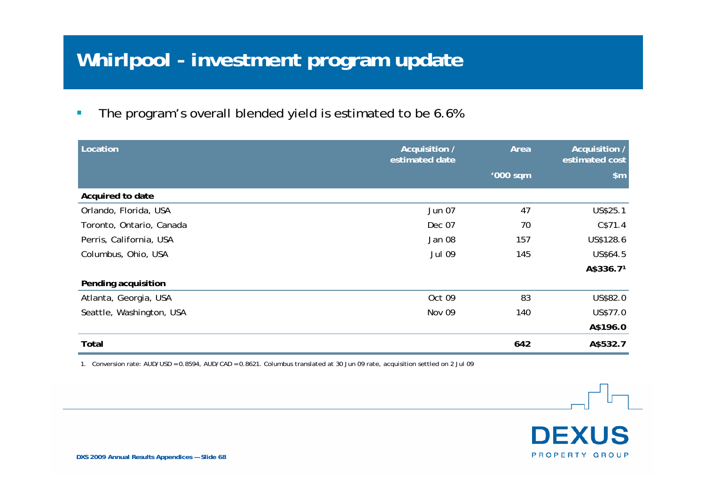# **Whirlpool - investment program update**

 $\mathcal{C}$ The program's overall blended yield is estimated to be 6.6%

| Location                 | Acquisition /<br>estimated date | Area     | Acquisition /<br>estimated cost |
|--------------------------|---------------------------------|----------|---------------------------------|
|                          |                                 | '000 sqm | \$m\$                           |
| Acquired to date         |                                 |          |                                 |
| Orlando, Florida, USA    | Jun 07                          | 47       | US\$25.1                        |
| Toronto, Ontario, Canada | Dec 07                          | 70       | C\$71.4                         |
| Perris, California, USA  | Jan 08                          | 157      | US\$128.6                       |
| Columbus, Ohio, USA      | <b>Jul 09</b>                   | 145      | US\$64.5                        |
|                          |                                 |          | A\$336.71                       |
| Pending acquisition      |                                 |          |                                 |
| Atlanta, Georgia, USA    | Oct 09                          | 83       | US\$82.0                        |
| Seattle, Washington, USA | Nov 09                          | 140      | US\$77.0                        |
|                          |                                 |          | A\$196.0                        |
| Total                    |                                 | 642      | A\$532.7                        |

1. Conversion rate: AUD/USD = 0.8594, AUD/CAD = 0.8621. Columbus translated at 30 Jun 09 rate, acquisition settled on 2 Jul 09

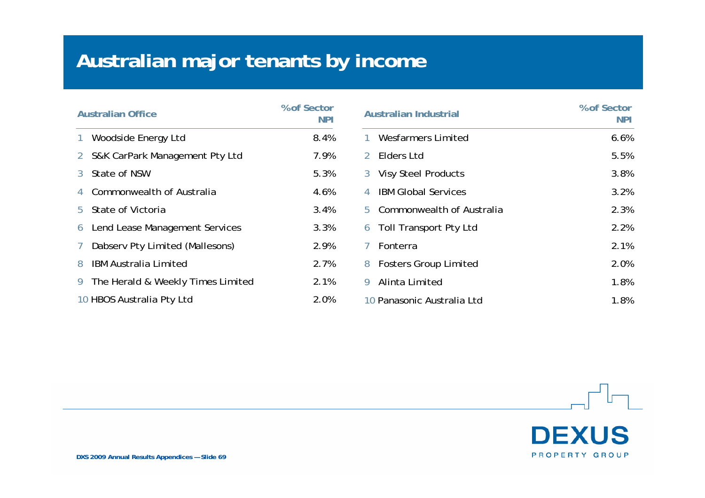# **Australian major tenants by income**

| <b>Australian Office</b> |                                   | % of Sector<br>NPI |
|--------------------------|-----------------------------------|--------------------|
| 1                        | Woodside Energy Ltd               | 8.4%               |
| $\overline{2}$           | S&K CarPark Management Pty Ltd    | 7.9%               |
| 3                        | State of NSW                      | 5.3%               |
| 4                        | Commonwealth of Australia         | 4.6%               |
| 5.                       | State of Victoria                 | 3.4%               |
| 6                        | Lend Lease Management Services    | 3.3%               |
| 7                        | Dabserv Pty Limited (Mallesons)   | 2.9%               |
| 8                        | <b>IBM Australia Limited</b>      | 2.7%               |
| 9                        | The Herald & Weekly Times Limited | 2.1%               |
|                          | 10 HBOS Australia Pty Ltd         | 2.0%               |

| <b>Australian Industrial</b>       | % of Sector<br>NPI |
|------------------------------------|--------------------|
| <b>Wesfarmers Limited</b>          | 6.6%               |
| Elders Ltd<br>$\mathcal{D}$        | 5.5%               |
| <b>Visy Steel Products</b><br>3    | 3.8%               |
| <b>IBM Global Services</b><br>4    | 3.2%               |
| Commonwealth of Australia<br>5     | 2.3%               |
| <b>Toll Transport Pty Ltd</b><br>6 | 2.2%               |
| 7<br>Fonterra                      | 2.1%               |
| <b>Fosters Group Limited</b><br>8  | 2.0%               |
| Alinta Limited<br>9                | 1.8%               |
| 10 Panasonic Australia Ltd         | 1.8%               |

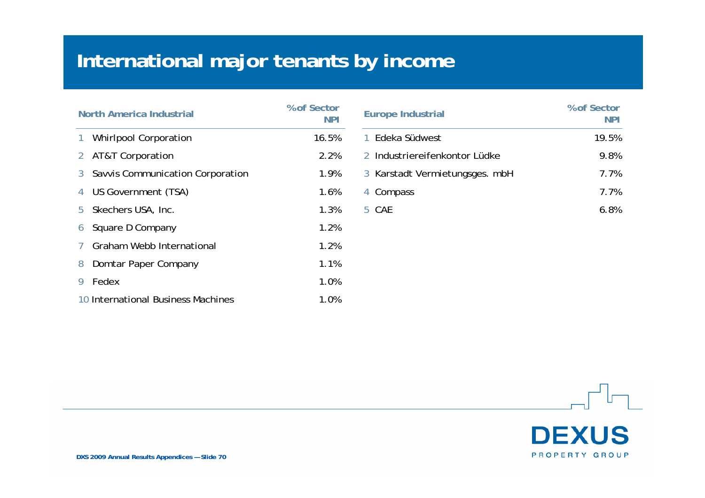# **International major tenants by income**

| <b>North America Industrial</b> |                                    | % of Sector<br><b>NPI</b> |
|---------------------------------|------------------------------------|---------------------------|
| 1                               | <b>Whirlpool Corporation</b>       | 16.5%                     |
| 2                               | AT&T Corporation                   | 2.2%                      |
| 3                               | Savvis Communication Corporation   | 1.9%                      |
| 4                               | US Government (TSA)                | 1.6%                      |
| 5.                              | Skechers USA, Inc.                 | 1.3%                      |
| 6                               | Square D Company                   | 1.2%                      |
| 7                               | Graham Webb International          | 1.2%                      |
| 8                               | Domtar Paper Company               | 1.1%                      |
| 9                               | Fedex                              | 1.0%                      |
|                                 | 10 International Business Machines | 1.0%                      |

| <b>Europe Industrial</b>       | % of Sector<br><b>NPI</b> |
|--------------------------------|---------------------------|
| Edeka Südwest                  | 19.5%                     |
| 2 Industriereifenkontor Lüdke  | 9.8%                      |
| 3 Karstadt Vermietungsges. mbH | 7.7%                      |
| 4 Compass                      | 7.7%                      |
| CAF.                           | 6 Ջ%                      |

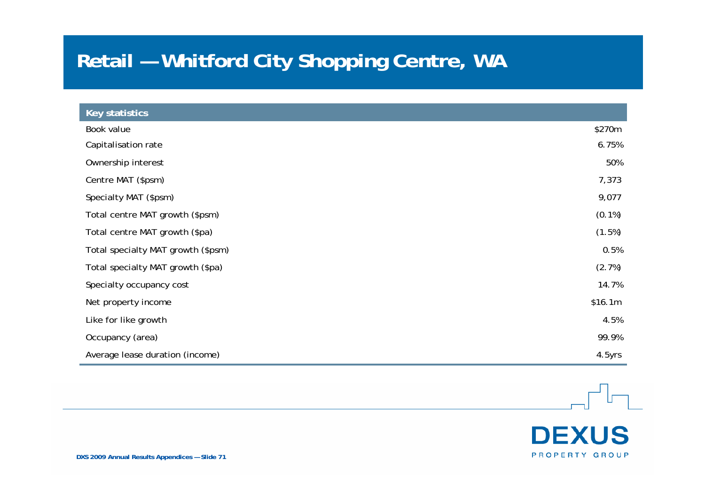# **Retail — Whitford City Shopping Centre, WA**

| Key statistics                     |           |
|------------------------------------|-----------|
| Book value                         | \$270m    |
| Capitalisation rate                | 6.75%     |
| Ownership interest                 | 50%       |
| Centre MAT (\$psm)                 | 7,373     |
| Specialty MAT (\$psm)              | 9,077     |
| Total centre MAT growth (\$psm)    | $(0.1\%)$ |
| Total centre MAT growth (\$pa)     | (1.5%)    |
| Total specialty MAT growth (\$psm) | 0.5%      |
| Total specialty MAT growth (\$pa)  | (2.7%)    |
| Specialty occupancy cost           | 14.7%     |
| Net property income                | \$16.1m   |
| Like for like growth               | 4.5%      |
| Occupancy (area)                   | 99.9%     |
| Average lease duration (income)    | 4.5yrs    |

**DEXUS** PROPERTY GROUP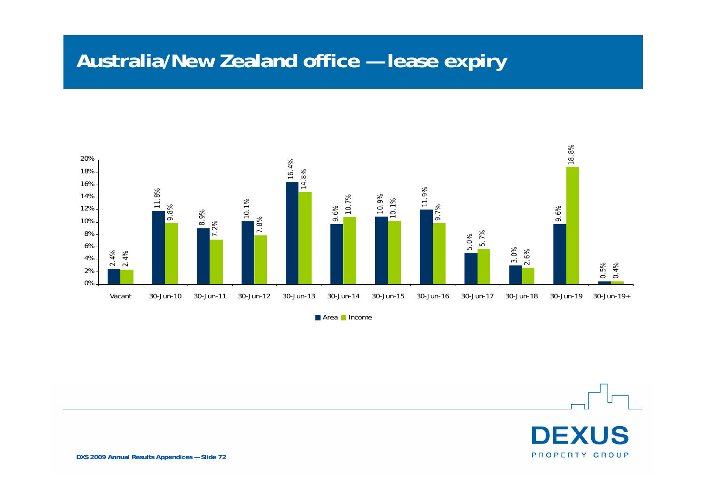#### **Australia/New Zealand office — lease expiry**



Area **In**come

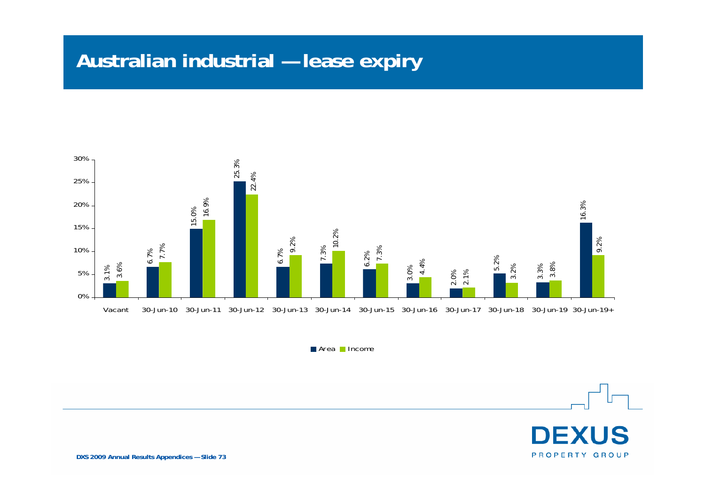# **Australian industrial — lease expiry**



Area Income

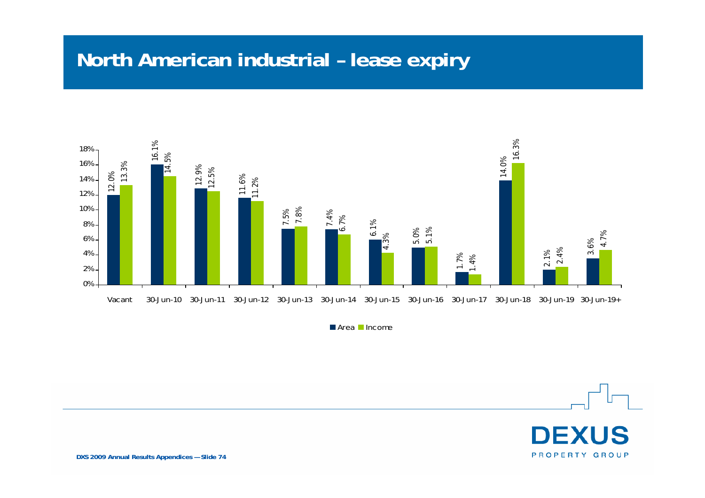#### **North American industrial – lease expiry**



Area **I**ncome

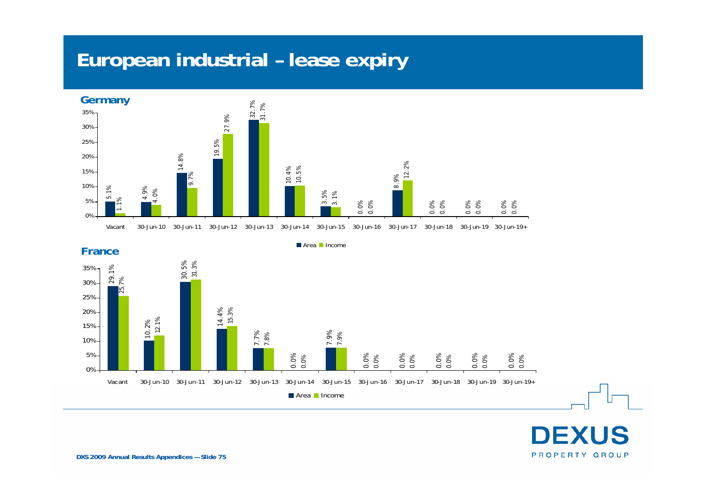#### **European industrial – lease expiry**





Area **Income** 



**CUS** D PROPERTY GROUP

**DXS 2009 Annual Results Appendices — Slide 75**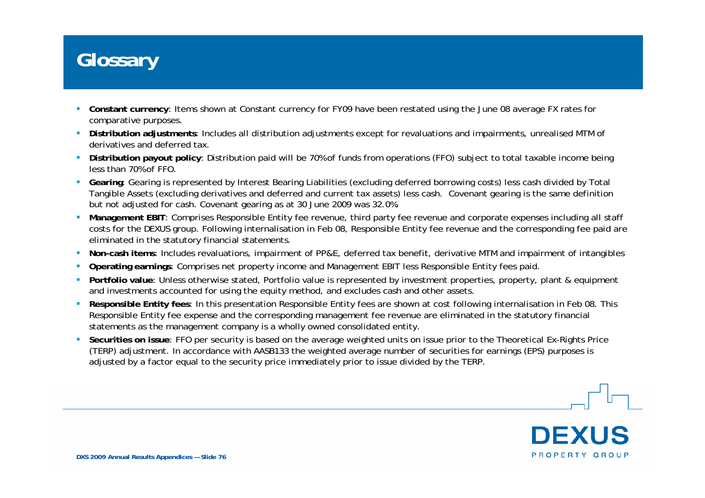#### **Glossary**

- $\mathbf{r}$  **Constant currency**: Items shown at Constant currency for FY09 have been restated using the June 08 average FX rates for comparative purposes.
- **Distribution adjustments**: Includes all distribution adjustments except for revaluations and impairments, unrealised MTM of derivatives and deferred tax.
- **Distribution payout policy**: Distribution paid will be 70% of funds from operations (FFO) subject to total taxable income being less than 70% of FFO.
- **Gearing**: Gearing is represented by Interest Bearing Liabilities (excluding deferred borrowing costs) less cash divided by Total Tangible Assets (excluding derivatives and deferred and current tax assets) less cash. Covenant gearing is the same definition but not adjusted for cash. Covenant gearing as at 30 June 2009 was 32.0%.
- **Management EBIT**: Comprises Responsible Entity fee revenue, third party fee revenue and corporate expenses including all staff costs for the DEXUS group. Following internalisation in Feb 08, Responsible Entity fee revenue and the corresponding fee paid are eliminated in the statutory financial statements.
- **Non-cash items**: Includes revaluations, impairment of PP&E, deferred tax benefit, derivative MTM and impairment of intangibles
- **Operating earnings**: Comprises net property income and Management EBIT less Responsible Entity fees paid.
- **Portfolio value**: Unless otherwise stated, Portfolio value is represented by investment properties, property, plant & equipment and investments accounted for using the equity method, and excludes cash and other assets.
- **Responsible Entity fees**: In this presentation Responsible Entity fees are shown at cost following internalisation in Feb 08. This Responsible Entity fee expense and the corresponding management fee revenue are eliminated in the statutory financial statements as the management company is a wholly owned consolidated entity.
- **Securities on issue**: FFO per security is based on the average weighted units on issue prior to the Theoretical Ex-Rights Price (TERP) adjustment. In accordance with AASB133 the weighted average number of securities for earnings (EPS) purposes is adjusted by a factor equal to the security price immediately prior to issue divided by the TERP.

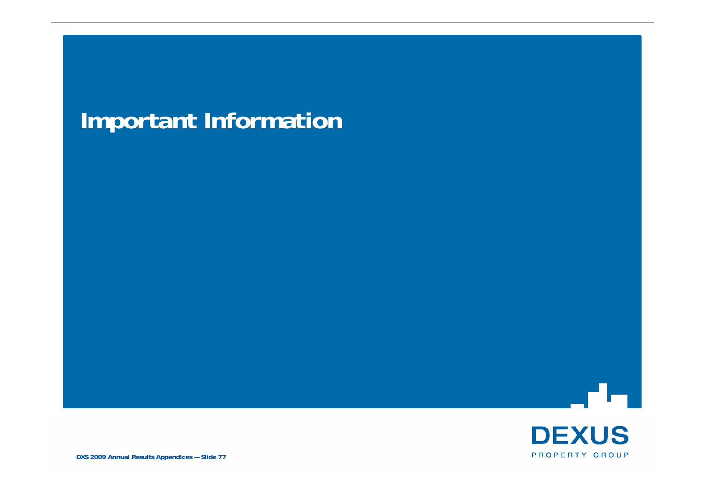# **Important Information**



r Hi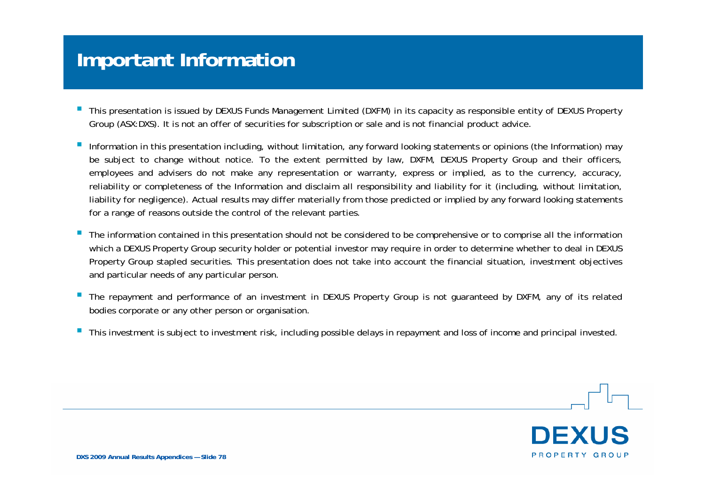#### **Important Information**

- $\overline{\phantom{a}}$  This presentation is issued by DEXUS Funds Management Limited (DXFM) in its capacity as responsible entity of DEXUS Property Group (ASX:DXS). It is not an offer of securities for subscription or sale and is not financial product advice.
- Information in this presentation including, without limitation, any forward looking statements or opinions (the Information) may be subject to change without notice. To the extent permitted by law, DXFM, DEXUS Property Group and their officers, employees and advisers do not make any representation or warranty, express or implied, as to the currency, accuracy, reliability or completeness of the Information and disclaim all responsibility and liability for it (including, without limitation, liability for negligence). Actual results may differ materially from those predicted or implied by any forward looking statements for a range of reasons outside the control of the relevant parties.
- $\blacksquare$  The information contained in this presentation should not be considered to be comprehensive or to comprise all the information which a DEXUS Property Group security holder or potential investor may require in order to determine whether to deal in DEXUS Property Group stapled securities. This presentation does not take into account the financial situation, investment objectives and particular needs of any particular person.
- г The repayment and performance of an investment in DEXUS Property Group is not guaranteed by DXFM, any of its related bodies corporate or any other person or organisation.
- $\mathcal{L}_{\mathcal{A}}$ This investment is subject to investment risk, including possible delays in repayment and loss of income and principal invested.